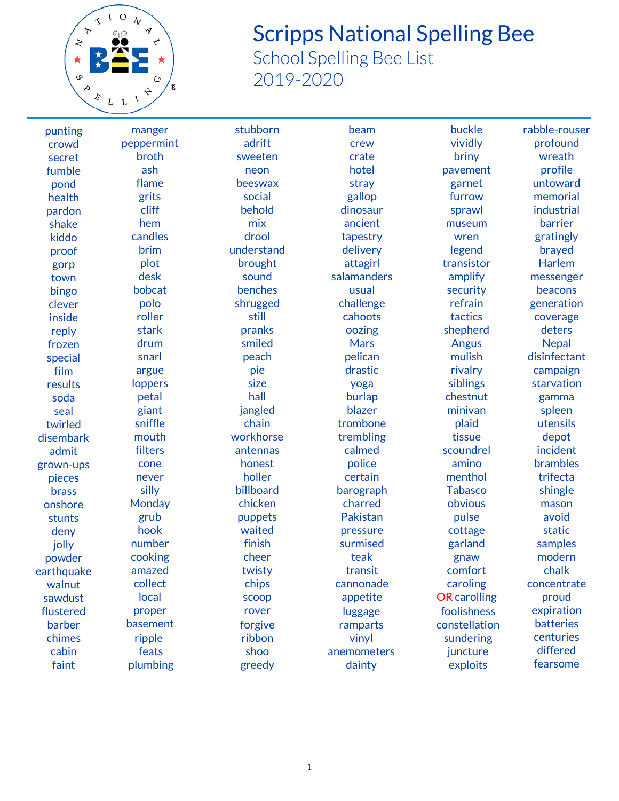

## Scripps National Spelling Bee

School Spelling Bee List 2019-2020

punting crowd secret fumble pond health pardon shake kiddo proof gorp town bingo clever inside reply frozen special film results soda seal twirled disembark admit grown-ups pieces brass onshore stunts deny jolly powder earthquake walnut sawdust flustered barber chimes cabin faint

manger peppermint broth ash flame grits cliff hem candles brim plot desk bobcat polo roller stark drum snarl argue loppers petal giant sniffle mouth filters cone never silly **Monday** grub hook number cooking amazed collect local proper basement ripple feats plumbing

stubborn adrift sweeten neon beeswax social behold mix drool understand brought sound benches shrugged still pranks smiled peach pie size hall jangled chain workhorse antennas honest holler billboard chicken puppets waited finish cheer twisty chips scoop rover forgive ribbon shoo greedy

beam crew crate hotel stray gallop dinosaur ancient tapestry delivery attagirl salamanders usual challenge cahoots oozing Mars pelican drastic yoga burlap blazer trombone trembling calmed police certain barograph charred Pakistan pressure surmised teak transit cannonade appetite luggage ramparts vinyl anemometers dainty

buckle vividly briny pavement garnet furrow sprawl museum wren legend transistor amplify security refrain tactics shepherd Angus mulish rivalry siblings chestnut minivan plaid tissue scoundrel amino menthol Tabasco obvious pulse cottage garland gnaw comfort caroling OR carolling foolishness constellation sundering juncture exploits

rabble-rouser profound wreath profile untoward memorial industrial barrier gratingly brayed Harlem messenger beacons generation coverage deters **Nepal** disinfectant campaign starvation gamma spleen utensils depot incident brambles trifecta shingle mason avoid static samples modern chalk concentrate proud expiration batteries centuries differed fearsome